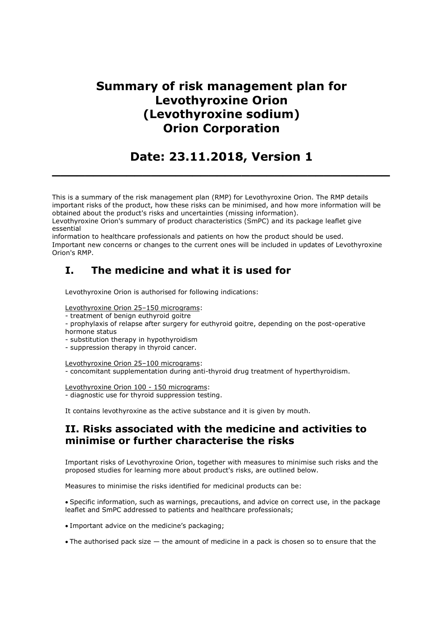# Summary of risk management plan for Levothyroxine Orion (Levothyroxine sodium) Orion Corporation

Date: 23.11.2018, Version 1

 $\_$  , and the set of the set of the set of the set of the set of the set of the set of the set of the set of the set of the set of the set of the set of the set of the set of the set of the set of the set of the set of th

This is a summary of the risk management plan (RMP) for Levothyroxine Orion. The RMP details important risks of the product, how these risks can be minimised, and how more information will be obtained about the product's risks and uncertainties (missing information).

Levothyroxine Orion's summary of product characteristics (SmPC) and its package leaflet give essential

information to healthcare professionals and patients on how the product should be used. Important new concerns or changes to the current ones will be included in updates of Levothyroxine Orion's RMP.

## I. The medicine and what it is used for

Levothyroxine Orion is authorised for following indications:

Levothyroxine Orion 25–150 micrograms:

- treatment of benign euthyroid goitre

- prophylaxis of relapse after surgery for euthyroid goitre, depending on the post-operative hormone status

- substitution therapy in hypothyroidism

- suppression therapy in thyroid cancer.

Levothyroxine Orion 25–100 micrograms:

- concomitant supplementation during anti-thyroid drug treatment of hyperthyroidism.

Levothyroxine Orion 100 - 150 micrograms:

- diagnostic use for thyroid suppression testing.

It contains levothyroxine as the active substance and it is given by mouth.

### II. Risks associated with the medicine and activities to minimise or further characterise the risks

Important risks of Levothyroxine Orion, together with measures to minimise such risks and the proposed studies for learning more about product's risks, are outlined below.

Measures to minimise the risks identified for medicinal products can be:

Specific information, such as warnings, precautions, and advice on correct use, in the package leaflet and SmPC addressed to patients and healthcare professionals;

Important advice on the medicine's packaging;

The authorised pack size — the amount of medicine in a pack is chosen so to ensure that the